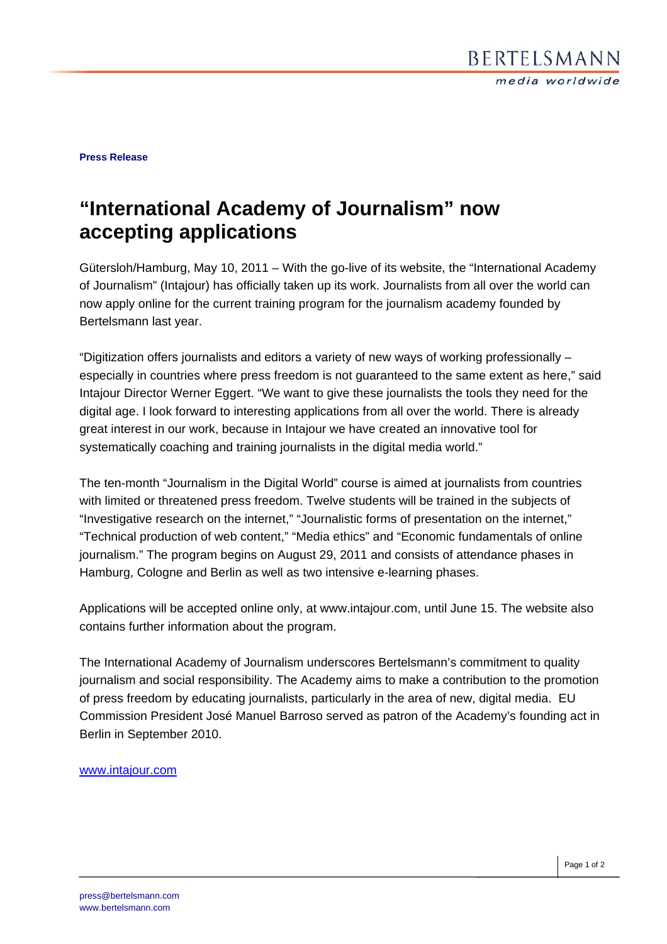**Press Release** 

## **"International Academy of Journalism" now accepting applications**

Gütersloh/Hamburg, May 10, 2011 – With the go-live of its website, the "International Academy of Journalism" (Intajour) has officially taken up its work. Journalists from all over the world can now apply online for the current training program for the journalism academy founded by Bertelsmann last year.

"Digitization offers journalists and editors a variety of new ways of working professionally – especially in countries where press freedom is not guaranteed to the same extent as here," said Intajour Director Werner Eggert. "We want to give these journalists the tools they need for the digital age. I look forward to interesting applications from all over the world. There is already great interest in our work, because in Intajour we have created an innovative tool for systematically coaching and training journalists in the digital media world."

The ten-month "Journalism in the Digital World" course is aimed at journalists from countries with limited or threatened press freedom. Twelve students will be trained in the subjects of "Investigative research on the internet," "Journalistic forms of presentation on the internet," "Technical production of web content," "Media ethics" and "Economic fundamentals of online journalism." The program begins on August 29, 2011 and consists of attendance phases in Hamburg, Cologne and Berlin as well as two intensive e-learning phases.

Applications will be accepted online only, at www.intajour.com, until June 15. The website also contains further information about the program.

The International Academy of Journalism underscores Bertelsmann's commitment to quality journalism and social responsibility. The Academy aims to make a contribution to the promotion of press freedom by educating journalists, particularly in the area of new, digital media. EU Commission President José Manuel Barroso served as patron of the Academy's founding act in Berlin in September 2010.

## www.intajour.com